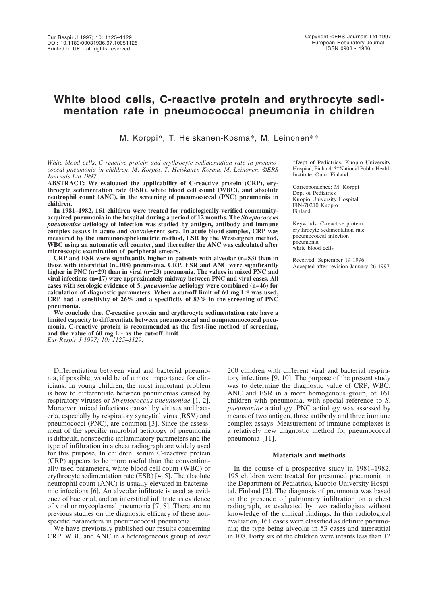# **White blood cells, C-reactive protein and erythrocyte sedimentation rate in pneumococcal pneumonia in children**

M. Korppi\*, T. Heiskanen-Kosma\*, M. Leinonen\*\*

### *White blood cells, C-reactive protein and erythrocyte sedimentation rate in pneumococcal pneumonia in children. M. Korppi, T. Heiskanen-Kosma, M. Leinonen. ©ERS Journals Ltd 1997.*

**ABSTRACT: We evaluated the applicability of C-reactive protein (CRP), erythrocyte sedimentation rate (ESR), white blood cell count (WBC), and absolute neutrophil count (ANC), in the screening of pneumococcal (PNC) pneumonia in children.**

**In 1981–1982, 161 children were treated for radiologically verified communityacquired pneumonia in the hospital during a period of 12 months. The** *Streptococcus pneumoniae* **aetiology of infection was studied by antigen, antibody and immune complex assays in acute and convalescent sera. In acute blood samples, CRP was measured by the immunonephelometric method, ESR by the Westergren method, WBC using an automatic cell counter, and thereafter the ANC was calculated after microscopic examination of peripheral smears.**

**CRP and ESR were significantly higher in patients with alveolar (n=53) than in those with interstitial (n=108) pneumonia. CRP, ESR and ANC were significantly higher in PNC (n=29) than in viral (n=23) pneumonia. The values in mixed PNC and viral infections (n=17) were approximately midway between PNC and viral cases. All cases with serologic evidence of** *S. pneumoniae* **aetiology were combined (n=46) for calculation of diagnostic parameters. When a cut-off limit of 60 mg·L-1 was used, CRP had a sensitivity of 26% and a specificity of 83% in the screening of PNC pneumonia.**

**We conclude that C-reactive protein and erythrocyte sedimentation rate have a limited capacity to differentiate between pneumococcal and nonpneumococcal pneumonia. C-reactive protein is recommended as the first-line method of screening, and the value of 60 mg·L-1 as the cut-off limit.** *Eur Respir J 1997; 10: 1125–1129.*

Differentiation between viral and bacterial pneumonia, if possible, would be of utmost importance for clinicians. In young children, the most important problem is how to differentiate between pneumonias caused by respiratory viruses or *Streptococcus pneumoniae* [1, 2]. Moreover, mixed infections caused by viruses and bacteria, especially by respiratory syncytial virus (RSV) and pneumococci (PNC), are common [3]. Since the assessment of the specific microbial aetiology of pneumonia is difficult, nonspecific inflammatory parameters and the type of infiltration in a chest radiograph are widely used for this purpose. In children, serum C-reactive protein (CRP) appears to be more useful than the conventionally used parameters, white blood cell count (WBC) or erythrocyte sedimentation rate (ESR) [4, 5]. The absolute neutrophil count (ANC) is usually elevated in bacteraemic infections [6]. An alveolar infiltrate is used as evidence of bacterial, and an interstitial infiltrate as evidence of viral or mycoplasmal pneumonia [7, 8]. There are no previous studies on the diagnostic efficacy of these nonspecific parameters in pneumococcal pneumonia.

We have previously published our results concerning CRP, WBC and ANC in a heterogeneous group of over

\*Dept of Pediatrics, Kuopio University Hospital, Finland. \*\*National Public Health Institute, Oulu, Finland.

Correspondence: M. Korppi Dept of Pediatrics Kuopio University Hospital FIN-70210 Kuopio Finland

Keywords: C-reactive protein erythrocyte sedimentation rate pneumococcal infection pneumonia white blood cells

Received: September 19 1996 Accepted after revision January 26 1997

200 children with different viral and bacterial respiratory infections [9, 10]. The purpose of the present study was to determine the diagnostic value of CRP, WBC, ANC and ESR in a more homogenous group, of 161 children with pneumonia, with special reference to *S. pneumoniae* aetiology. PNC aetiology was assessed by means of two antigen, three antibody and three immune complex assays. Measurement of immune complexes is a relatively new diagnostic method for pneumococcal pneumonia [11].

# **Materials and methods**

In the course of a prospective study in 1981–1982, 195 children were treated for presumed pneumonia in the Department of Pediatrics, Kuopio University Hospital, Finland [2]. The diagnosis of pneumonia was based on the presence of pulmonary infiltration on a chest radiograph, as evaluated by two radiologists without knowledge of the clinical findings. In this radiological evaluation, 161 cases were classified as definite pneumonia; the type being alveolar in 53 cases and interstitial in 108. Forty six of the children were infants less than 12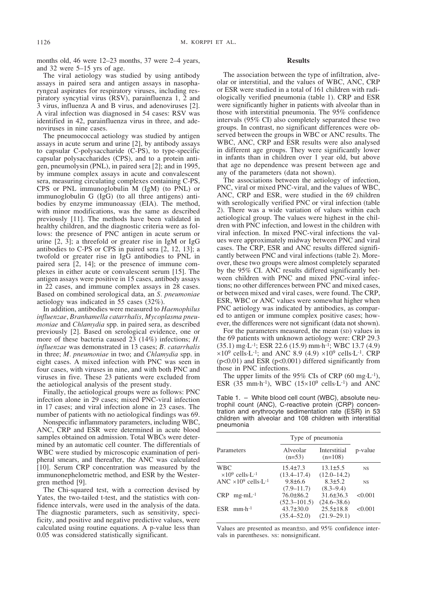months old, 46 were 12–23 months, 37 were 2–4 years, and 32 were 5–15 yrs of age.

The viral aetiology was studied by using antibody assays in paired sera and antigen assays in nasopharyngeal aspirates for respiratory viruses, including respiratory syncytial virus (RSV), parainfluenza 1, 2 and 3 virus, influenza A and B virus, and adenoviruses [2]. A viral infection was diagnosed in 54 cases: RSV was identified in 42, parainfluenza virus in three, and adenoviruses in nine cases.

The pneumococcal aetiology was studied by antigen assays in acute serum and urine [2], by antibody assays to capsular C-polysaccharide (C-PS), to type-specific capsular polysaccharides (CPS), and to a protein antigen, pneumolysin (PNL), in paired sera [2]; and in 1995, by immune complex assays in acute and convalescent sera, measuring circulating complexes containing C-PS, CPS or PNL immunoglobulin M (IgM) (to PNL) or immunoglobulin G (IgG) (to all three antigens) antibodies by enzyme immunoassay (EIA). The method, with minor modifications, was the same as described previously [11]. The methods have been validated in healthy children, and the diagnostic criteria were as follows: the presence of PNC antigen in acute serum or urine [2, 3]; a threefold or greater rise in IgM or IgG antibodies to C-PS or CPS in paired sera [2, 12, 13]; a twofold or greater rise in IgG antibodies to PNL in paired sera [2, 14]; or the presence of immune complexes in either acute or convalescent serum [15]. The antigen assays were positive in 15 cases, antibody assays in 22 cases, and immune complex assays in 28 cases. Based on combined serological data, an *S. pneumoniae* aetiology was indicated in 55 cases (32%).

In addition, antibodies were measured to *Haemophilus influenzae*, *Branhamella catarrhalis*, *Mycoplasma pneumoniae* and *Chlamydia* spp. in paired sera, as described previously [2]. Based on serological evidence, one or more of these bacteria caused 23 (14%) infections; *H. influenzae* was demonstrated in 13 cases; *B. catarrhalis* in three; *M. pneumoniae* in two; and *Chlamydia* spp. in eight cases. A mixed infection with PNC was seen in four cases, with viruses in nine, and with both PNC and viruses in five. These 23 patients were excluded from the aetiological analysis of the present study.

Finally, the aetiological groups were as follows: PNC infection alone in 29 cases; mixed PNC-viral infection in 17 cases; and viral infection alone in 23 cases. The number of patients with no aetiological findings was 69.

Nonspecific inflammatory parameters, including WBC, ANC, CRP and ESR were determined in acute blood samples obtained on admission. Total WBCs were determined by an automatic cell counter. The differentials of WBC were studied by microscopic examination of peripheral smears, and thereafter, the ANC was calculated [10]. Serum CRP concentration was measured by the immunonephelometric method, and ESR by the Westergren method [9].

The Chi-squared test, with a correction devised by Yates, the two-tailed t-test, and the statistics with confidence intervals, were used in the analysis of the data. The diagnostic parameters, such as sensitivity, specificity, and positive and negative predictive values, were calculated using routine equations. A p-value less than 0.05 was considered statistically significant.

## **Results**

The association between the type of infiltration, alveolar or interstitial, and the values of WBC, ANC, CRP or ESR were studied in a total of 161 children with radiologically verified pneumonia (table 1). CRP and ESR were significantly higher in patients with alveolar than in those with interstitial pneumonia. The 95% confidence intervals (95% CI) also completely separated these two groups. In contrast, no significant differences were observed between the groups in WBC or ANC results. The WBC, ANC, CRP and ESR results were also analysed in different age groups. They were significantly lower in infants than in children over 1 year old, but above that age no dependence was present between age and any of the parameters (data not shown).

The associations between the aetiology of infection, PNC, viral or mixed PNC-viral, and the values of WBC, ANC, CRP and ESR, were studied in the 69 children with serologically verified PNC or viral infection (table 2). There was a wide variation of values within each aetiological group. The values were highest in the children with PNC infection, and lowest in the children with viral infection. In mixed PNC-viral infections the values were approximately midway between PNC and viral cases. The CRP, ESR and ANC results differed significantly between PNC and viral infections (table 2). Moreover, these two groups were almost completely separated by the 95% CI. ANC results differed significantly between children with PNC and mixed PNC-viral infections; no other differences between PNC and mixed cases, or between mixed and viral cases, were found. The CRP, ESR, WBC or ANC values were somewhat higher when PNC aetiology was indicated by antibodies, as compared to antigen or immune complex positive cases; however, the differences were not significant (data not shown).

For the parameters measured, the mean (SD) values in the 69 patients with unknown aetiology were: CRP 29.3 (35.1) mg·L-1; ESR 22.6 (15.9) mm·h-1; WBC 13.7 (4.9)  $\times 10^9$  cells·L<sup>-1</sup>; and ANC 8.9 (4.9)  $\times 10^9$  cells·L<sup>-1</sup>. CRP  $(p<0.01)$  and ESR  $(p<0.001)$  differed significantly from those in PNC infections.

The upper limits of the 95% CIs of CRP  $(60 \text{ mg} \cdot \text{L}^{-1})$ , ESR  $(35 \text{ mm}\cdot\text{h}^{-1})$ , WBC  $(15\times10^9 \text{ cells}\cdot\text{L}^{-1})$  and ANC

Table 1. – White blood cell count (WBC), absolute neutrophil count (ANC), C-reactive protein (CRP) concentration and erythrocyte sedimentation rate (ESR) in 53 children with alveolar and 108 children with interstitial pneumonia

|                                                              | Type of pneumonia                                      | p-value                                               |                |
|--------------------------------------------------------------|--------------------------------------------------------|-------------------------------------------------------|----------------|
| Parameters                                                   | Alveolar<br>$(n=53)$                                   |                                                       |                |
| <b>WBC</b><br>$\times$ 10 <sup>9</sup> cells·L <sup>-1</sup> | $15.4 \pm 7.3$<br>$(13.4 - 17.4)$                      | $13.1 \pm 5.5$<br>$(12.0 - 14.2)$                     | NS <sub></sub> |
| ANC $\times$ 10 <sup>9</sup> cells·L <sup>-1</sup>           | $9.8 \pm 6.6$                                          | $8.3 \pm 5.2$                                         | <b>NS</b>      |
| $CRP$ mg·m $L^{-1}$                                          | $(7.9 - 11.7)$<br>$76.0\pm86.2$                        | $(8.3 - 9.4)$<br>$31.6\pm36.3$                        | < 0.001        |
| $ESR$ mm $\cdot h^{-1}$                                      | $(52.3 - 101.5)$<br>$43.7 \pm 30.0$<br>$(35.4 - 52.0)$ | $(24.6 - 38.6)$<br>$25.5 \pm 18.8$<br>$(21.9 - 29.1)$ | < 0.001        |

Values are presented as mean±sp, and 95% confidence intervals in parentheses. NS: nonsignificant.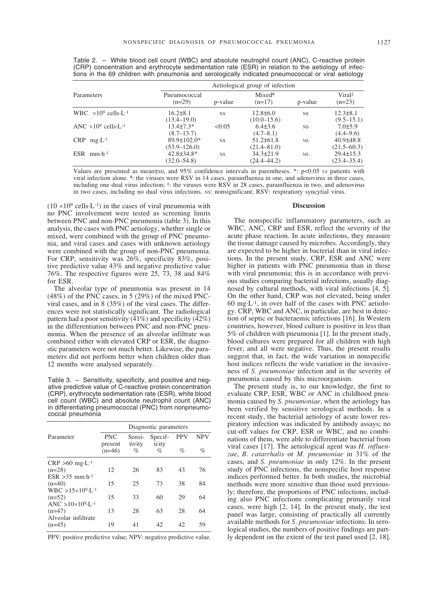| Parameters                              |                                       | Aetiological group of infection |                                    |           |                                    |  |
|-----------------------------------------|---------------------------------------|---------------------------------|------------------------------------|-----------|------------------------------------|--|
|                                         | Pneumococcal<br>$(n=29)$              | p-value                         | $Mixed*$<br>$(n=17)$               | p-value   | Viral<br>$(n=23)$                  |  |
| WBC $\times 10^9$ cells L <sup>-1</sup> | $16.2\pm8.1$<br>$(13.4 - 19.0)$       | <b>NS</b>                       | $12.8 \pm 6.0$<br>$(10.0 - 15.6)$  | <b>NS</b> | $12.3\pm8.1$<br>$(9.5 - 15.1)$     |  |
| ANC $\times 10^9$ cells L <sup>-1</sup> | $13.4 \pm 7.3*$<br>(8.7–13.7)         | < 0.05                          | $6.4\pm3.6$<br>(4.7–8.1)           | <b>NS</b> | $7.0 \pm 5.9$<br>$(4.4 - 9.6)$     |  |
| $CRP$ mg $\cdot L^{-1}$                 | $89.9 \pm 102.0*$<br>$(53.9 - 126.0)$ | <b>NS</b>                       | $51.2 \pm 61.8$<br>$(21.4 - 81.0)$ | <b>NS</b> | $40.9 \pm 48.8$<br>$(21.5 - 60.3)$ |  |
| $ESR$ mm $\cdot h^{-1}$                 | $42.8 \pm 34.8^*$<br>$(32.0 - 54.8)$  | <b>NS</b>                       | $34.3 \pm 21.9$<br>$(24.4 - 44.2)$ | <b>NS</b> | $29.4 \pm 15.3$<br>$(23.4 - 35.4)$ |  |

Table 2. – White blood cell count (WBC) and absolute neutrophil count (ANC), C-reactive protein (CRP) concentration and erythrocyte sedimentation rate (ESR) in relation to the aetiology of infections in the 69 children with pneumonia and serologically indicated pneumococcal or viral aetiology

Values are presented as mean±SD, and 95% confidence intervals in parentheses. \*: p<0.05 *vs* patients with viral infection alone. #: the viruses were RSV in 14 cases, parainfluenza in one, and adenovirus in three cases, including one dual virus infection;  $\ddot{\cdot}$ : the viruses were RSV in 28 cases, parainfluenza in two, and adenovirus in two cases, including no dual virus infections. Ns: nonsignificant; RSV: respiratiory syncytial virus.

 $(10 \times 10^9 \text{ cells} \cdot \text{L}^{-1})$  in the cases of viral pneumonia with no PNC involvement were tested as screening limits between PNC and non-PNC pneumonia (table 3). In this analysis, the cases with PNC aetiology, whether single or mixed, were combined with the group of PNC pneumonia, and viral cases and cases with unknown aetiology were combined with the group of non-PNC pneumonia. For CRP, sensitivity was  $26\%$ , specificity 83%, positive predictive value 43% and negative predictive value 76%. The respective figures were 25, 73, 38 and 84% for ESR.

The alveolar type of pneumonia was present in 14  $(48\%)$  of the PNC cases, in 5 (29%) of the mixed PNCviral cases, and in 8 (35%) of the viral cases. The differences were not statistically significant. The radiological pattern had a poor sensitivity  $(41\%)$  and specificity  $(42\%)$ in the differentiation between PNC and non-PNC pneumonia. When the presence of an alveolar infiltrate was combined either with elevated CRP or ESR, the diagnostic parameters were not much better. Likewise, the parameters did not perform better when children older than 12 months were analysed separately.

Table 3. – Sensitivity, specificity, and positive and negative predictive value of C-reactive protein concentration (CRP), erythrocyte sedimentation rate (ESR), white blood cell count (WBC) and absolute neutrophil count (ANC) in differentiating pneumococcal (PNC) from nonpneumococcal pneumonia

|                                                | Diagnostic parameters |                  |                  |            |            |
|------------------------------------------------|-----------------------|------------------|------------------|------------|------------|
| Parameter                                      | <b>PNC</b><br>present | Sensi-<br>tivity | Specif-<br>icity | <b>PPV</b> | <b>NPV</b> |
|                                                | $(n=46)$              | $\%$             | $\%$             | $\%$       | $\%$       |
| $CRP > 60$ mg $\cdot L^{-1}$                   |                       |                  |                  |            |            |
| $(n=28)$                                       | 12                    | 26               | 83               | 43         | 76         |
| $ESR > 35$ mm $\cdot h^{-1}$                   |                       |                  |                  |            |            |
| $(n=40)$                                       | 15                    | 25               | 73               | 38         | 84         |
| $WBC > 15 \times 10^{9} \text{~L}^{-1}$        |                       |                  |                  |            |            |
| $(n=52)$                                       | 15                    | 33               | 60               | 29         | 64         |
| $\text{ANC} > 10 \times 10^{9} \text{ L}^{-1}$ |                       |                  |                  |            |            |
| $(n=47)$                                       | 13                    | 28               | 63               | 28         | 64         |
| Alveolar infiltrate                            |                       |                  |                  |            |            |
| $(n=45)$                                       | 19                    | 41               | 42               | 42         | 59         |

PPV: positive predictive value; NPV: negative predictive value.

#### **Discussion**

The nonspecific inflammatory parameters, such as WBC, ANC, CRP and ESR, reflect the severity of the acute phase reaction. In acute infections, they measure the tissue damage caused by microbes. Accordingly, they are expected to be higher in bacterial than in viral infections. In the present study, CRP, ESR and ANC were higher in patients with PNC pneumonia than in those with viral pneumonia; this is in accordance with previous studies comparing bacterial infections, usually diagnosed by cultural methods, with viral infections [4, 5]. On the other hand, CRP was not elevated, being under  $60 \text{ mg} \cdot L^{-1}$ , in over half of the cases with PNC aetiology. CRP, WBC and ANC, in particular, are best in detection of septic or bacteraemic infections [16]. In Western countries, however, blood culture is positive in less than 5% of children with pneumonia [1]. In the present study, blood cultures were prepared for all children with high fever, and all were negative. Thus, the present results suggest that, in fact, the wide variation in nonspecific host indices reflects the wide variation in the invasiveness of *S. pneumoniae* infection and in the severity of pneumonia caused by this microorganism.

The present study is, to our knowledge, the first to evaluate CRP, ESR, WBC or ANC in childhood pneumonia caused by *S. pneumoniae*, when the aetiology has been verified by sensitive serological methods. In a recent study, the bacterial aetiology of acute lower respiratory infection was indicated by antibody assays; no cut-off values for CRP, ESR or WBC, and no combinations of them, were able to differentiate bacterial from viral cases [17]. The aetiological agent was *H. influenzae*, *B. catarrhalis* or *M. pneumoniae* in 31% of the cases, and *S. pneumoniae* in only 12%. In the present study of PNC infections, the nonspecific host response indices performed better. In both studies, the microbial methods were more sensitive than those used previously; therefore, the proportions of PNC infections, including also PNC infections complicating primarily viral cases, were high [2, 14]. In the present study, the test panel was large, consisting of practically all currently available methods for *S. pneumoniae* infections. In serological studies, the numbers of positive findings are partly dependent on the extent of the test panel used [2, 18].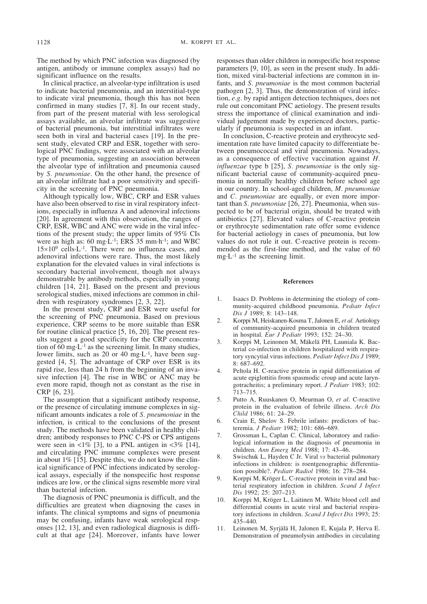The method by which PNC infection was diagnosed (by antigen, antibody or immune complex assays) had no significant influence on the results.

In clinical practice, an alveolar-type infiltration is used to indicate bacterial pneumonia, and an interstitial-type to indicate viral pneumonia, though this has not been confirmed in many studies [7, 8]. In our recent study, from part of the present material with less serological assays available, an alveolar infiltrate was suggestive of bacterial pneumonia, but interstitial infiltrates were seen both in viral and bacterial cases [19]. In the present study, elevated CRP and ESR, together with serological PNC findings, were associated with an alveolar type of pneumonia, suggesting an association between the alveolar type of infiltration and pneumonia caused by *S. pneumoniae*. On the other hand, the presence of an alveolar infiltrate had a poor sensitivity and specificity in the screening of PNC pneumonia.

Although typically low, WBC, CRP and ESR values have also been observed to rise in viral respiratory infections, especially in influenza A and adenoviral infections [20]. In agreement with this observation, the ranges of CRP, ESR, WBC and ANC were wide in the viral infections of the present study; the upper limits of 95% CIs were as high as: 60 mg·L-1; ERS 35 mm·h-1; and WBC  $15\times10^9$  cells·L<sup>-1</sup>. There were no influenza cases, and adenoviral infections were rare. Thus, the most likely explanation for the elevated values in viral infections is secondary bacterial involvement, though not always demonstrable by antibody methods, especially in young children [14, 21]. Based on the present and previous serological studies, mixed infections are common in children with respiratory syndromes [2, 3, 22].

In the present study, CRP and ESR were useful for the screening of PNC pneumonia. Based on previous experience, CRP seems to be more suitable than ESR for routine clinical practice [5, 16, 20]. The present results suggest a good specificity for the CRP concentration of  $60 \text{ mg} \cdot L^{-1}$  as the screening limit. In many studies, lower limits, such as 20 or 40 mg·L-1, have been suggested [4, 5]. The advantage of CRP over ESR is its rapid rise, less than 24 h from the beginning of an invasive infection [4]. The rise in WBC or ANC may be even more rapid, though not as constant as the rise in CRP [6, 23].

The assumption that a significant antibody response, or the presence of circulating immune complexes in significant amounts indicates a role of *S. pneumoniae* in the infection, is critical to the conclusions of the present study. The methods have been validated in healthy children; antibody responses to PNC C-PS or CPS antigens were seen in  $\lt 1\%$  [3], to a PNL antigen in  $\lt 3\%$  [14]. and circulating PNC immune complexes were present in about 1% [15]. Despite this, we do not know the clinical significance of PNC infections indicated by serological assays, especially if the nonspecific host response indices are low, or the clinical signs resemble more viral than bacterial infection.

The diagnosis of PNC pneumonia is difficult, and the difficulties are greatest when diagnosing the cases in infants. The clinical symptoms and signs of pneumonia may be confusing, infants have weak serological responses [12, 13], and even radiological diagnosis is difficult at that age [24]. Moreover, infants have lower responses than older children in nonspecific host response parameters [9, 10], as seen in the present study. In addition, mixed viral-bacterial infections are common in infants, and *S. pneumoniae* is the most common bacterial pathogen [2, 3]. Thus, the demonstration of viral infection, *e.g*. by rapid antigen detection techniques, does not rule out concomitant PNC aetiology. The present results stress the importance of clinical examination and individual judgement made by experienced doctors, particularly if pneumonia is suspected in an infant.

In conclusion, C-reactive protein and erythrocyte sedimentation rate have limited capacity to differentiate between pneumococcal and viral pneumonia. Nowadays, as a consequence of effective vaccination against *H. influenzae* type b [25], *S. pneumoniae* is the only significant bacterial cause of community-acquired pneumonia in normally healthy children before school age in our country. In school-aged children, *M. pneumoniae* and *C. pneumoniae* are equally, or even more important than *S. pneumoniae* [26, 27]. Pneumonia, when suspected to be of bacterial origin, should be treated with antibiotics [27]. Elevated values of C-reactive protein or erythrocyte sedimentation rate offer some evidence for bacterial aetiology in cases of pneumonia, but low values do not rule it out. C-reactive protein is recommended as the first-line method, and the value of 60 mg·L-1 as the screening limit.

### **References**

- 1. Isaacs D. Problems in determining the etiology of community-acquired childhood pneumonia. *Pediatr Infect Dis J* 1989; 8: 143–148.
- 2. Korppi M, Heiskanen-Kosma T, Jalonen E, *et al.* Aetiology of community-acquired pneumonia in children treated in hospital. *Eur J Pediatr* 1993; 152: 24–30.
- 3. Korppi M, Leinonen M, Mäkelä PH, Launiala K. Bacterial co-infection in children hospitalized with respiratory syncytial virus infections. *Pediatr Infect Dis J* 1989; 8: 687–692.
- 4. Peltola H. C-reactive protein in rapid differentiation of acute epiglottitis from spasmodic croup and acute laryngotracheitis; a preliminary report. *J Pediatr* 1983; 102: 713–715.
- 5. Putto A, Ruuskanen O, Meurman O, *et al*. C-reactive protein in the evaluation of febrile illness. *Arch Dis Child* 1986; 61: 24–29.
- 6. Crain E, Shelov S. Febrile infants: predictors of bacteremia. *J Pediatr* 1982; 101: 686–689.
- 7. Grossman L, Caplan C. Clinical, laboratory and radiological information in the diagnosis of pneumonia in children. *Ann Emerg Med* 1988; 17: 43–46.
- 8. Swischuk L, Hayden C Jr. Viral *vs* bacterial pulmonary infections in children: is roentgenographic differentiation possible?. *Pediatr Radiol* 1986; 16: 278–284.
- 9. Korppi M, Kröger L. C-reactive protein in viral and bacterial respiratory infection in children. *Scand J Infect Dis* 1992; 25: 207–213.
- 10. Korppi M, Kröger L, Laitinen M. White blood cell and differential counts in acute viral and bacterial respiratory infections in children. *Scand J Infect Dis* 1993; 25: 435–440.
- 11. Leinonen M, Syrjälä H, Jalonen E, Kujala P, Herva E. Demonstration of pneumolysin antibodies in circulating